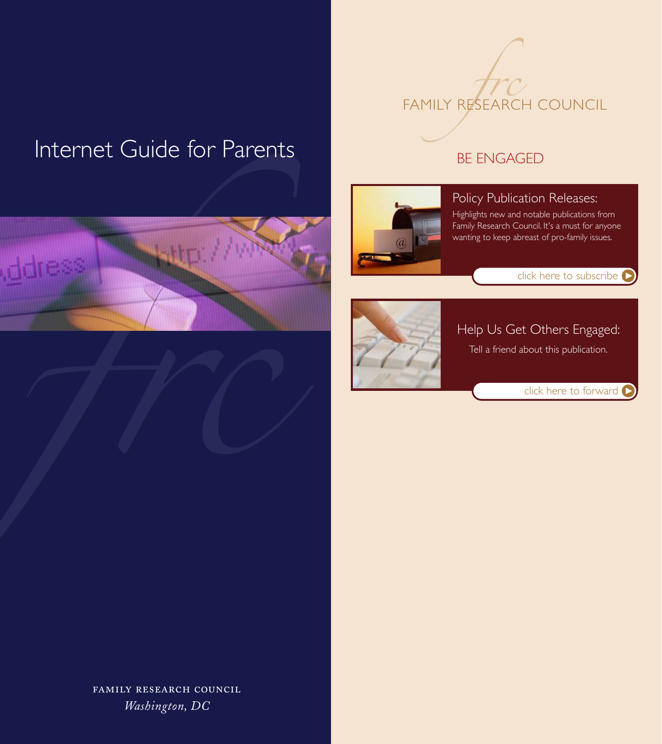# Internet Guide for Parents



#### BE ENGAGED



#### Policy Publication Releases:

Highlights new and notable publications from Family Research Council. It's a must for anyone wanting to keep abreast of pro-family issues.





#### Help Us Get Others Engaged:

Tell a friend about this publication.

[click here to forward](https://www.frc.org/get.cfm?c=REFER&f=BC06K02)

FAMILY RESEARCH COUNCIL *Washington, DC*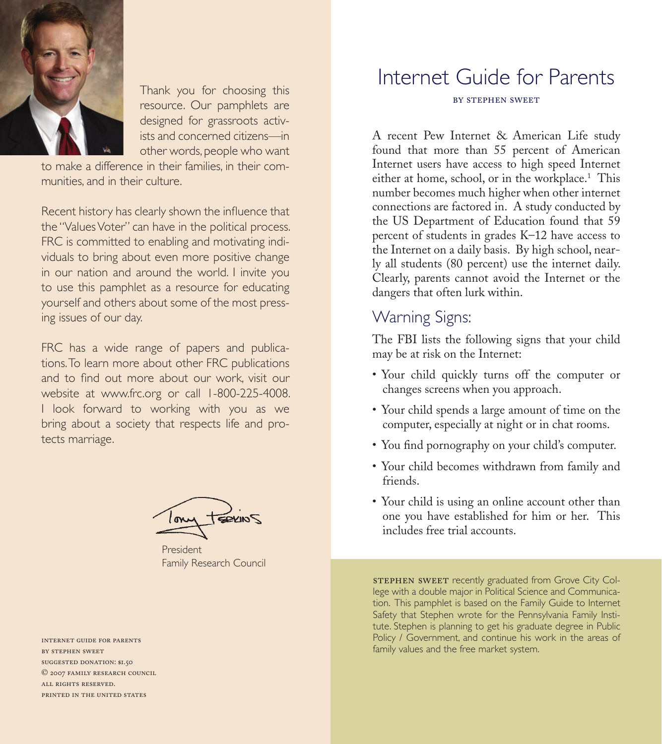

Thank you for choosing this resource. Our pamphlets are designed for grassroots activists and concerned citizens—in other words, people who want

to make a difference in their families, in their communities, and in their culture.

Recent history has clearly shown the influence that the "Values Voter" can have in the political process. FRC is committed to enabling and motivating individuals to bring about even more positive change in our nation and around the world. I invite you to use this pamphlet as a resource for educating yourself and others about some of the most pressing issues of our day.

FRC has a wide range of papers and publications. To learn more about other FRC publications and to find out more about our work, visit our website at www.frc.org or call 1-800-225-4008. I look forward to working with you as we bring about a society that respects life and protects marriage.

President Family Research Council

by stephen sweet suggested donation: \$1.50 © 2007 family research council all rights reserved. printed in the united states

# Internet Guide for Parents by stephen sweet

A recent Pew Internet & American Life study found that more than 55 percent of American Internet users have access to high speed Internet either at home, school, or in the workplace.<sup>1</sup> This number becomes much higher when other internet connections are factored in. A study conducted by the US Department of Education found that 59 percent of students in grades K–12 have access to the Internet on a daily basis. By high school, nearly all students (80 percent) use the internet daily. Clearly, parents cannot avoid the Internet or the dangers that often lurk within.

# Warning Signs:

The FBI lists the following signs that your child may be at risk on the Internet:

- Your child quickly turns off the computer or changes screens when you approach.
- • Your child spends a large amount of time on the computer, especially at night or in chat rooms.
- • You find pornography on your child's computer.
- • Your child becomes withdrawn from family and friends.
- Your child is using an online account other than one you have established for him or her. This includes free trial accounts.

STEPHEN SWEET recently graduated from Grove City College with a double major in Political Science and Communication. This pamphlet is based on the Family Guide to Internet Safety that Stephen wrote for the Pennsylvania Family Institute. Stephen is planning to get his graduate degree in Public Policy / Government, and continue his work in the areas of family values and the free market system. Internet guide for parents and the free market system. Internet guide for<br>Internet guide for parents and the free market system.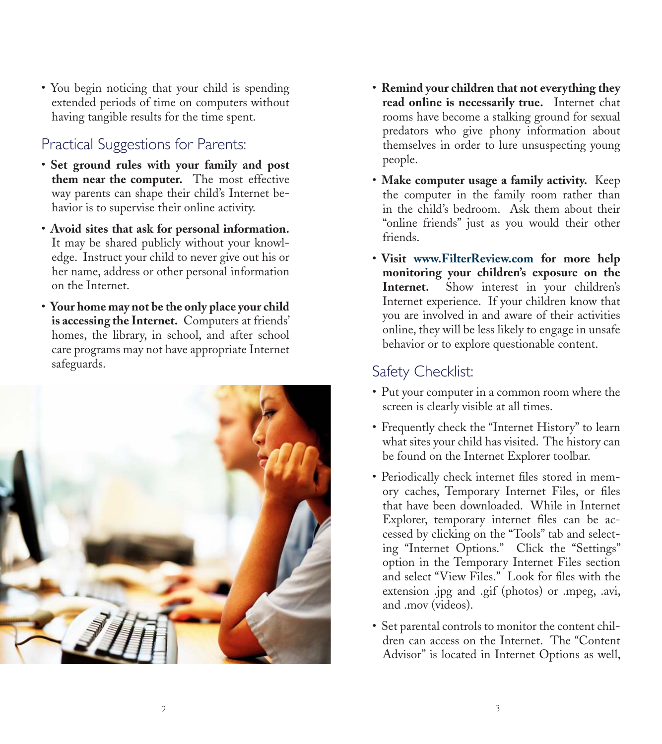• You begin noticing that your child is spending extended periods of time on computers without having tangible results for the time spent.

#### Practical Suggestions for Parents:

- • **Set ground rules with your family and post them near the computer.** The most effective way parents can shape their child's Internet behavior is to supervise their online activity.
- • **Avoid sites that ask for personal information.** It may be shared publicly without your knowledge. Instruct your child to never give out his or her name, address or other personal information on the Internet.
- • **Your home may not be the only place your child is accessing the Internet.** Computers at friends' homes, the library, in school, and after school care programs may not have appropriate Internet safeguards.



- • **Remind your children that not everything they read online is necessarily true.** Internet chat rooms have become a stalking ground for sexual predators who give phony information about themselves in order to lure unsuspecting young people.
- • **Make computer usage a family activity.** Keep the computer in the family room rather than in the child's bedroom. Ask them about their "online friends" just as you would their other friends.
- • **Visit www.FilterReview.com for more help monitoring your children's exposure on the Internet.** Show interest in your children's Internet experience. If your children know that you are involved in and aware of their activities online, they will be less likely to engage in unsafe behavior or to explore questionable content.

#### Safety Checklist:

- Put your computer in a common room where the screen is clearly visible at all times.
- Frequently check the "Internet History" to learn what sites your child has visited. The history can be found on the Internet Explorer toolbar.
- • Periodically check internet files stored in memory caches, Temporary Internet Files, or files that have been downloaded. While in Internet Explorer, temporary internet files can be accessed by clicking on the "Tools" tab and selecting "Internet Options." Click the "Settings" option in the Temporary Internet Files section and select "View Files." Look for files with the extension .jpg and .gif (photos) or .mpeg, .avi, and .mov (videos).
- Set parental controls to monitor the content children can access on the Internet. The "Content Advisor" is located in Internet Options as well,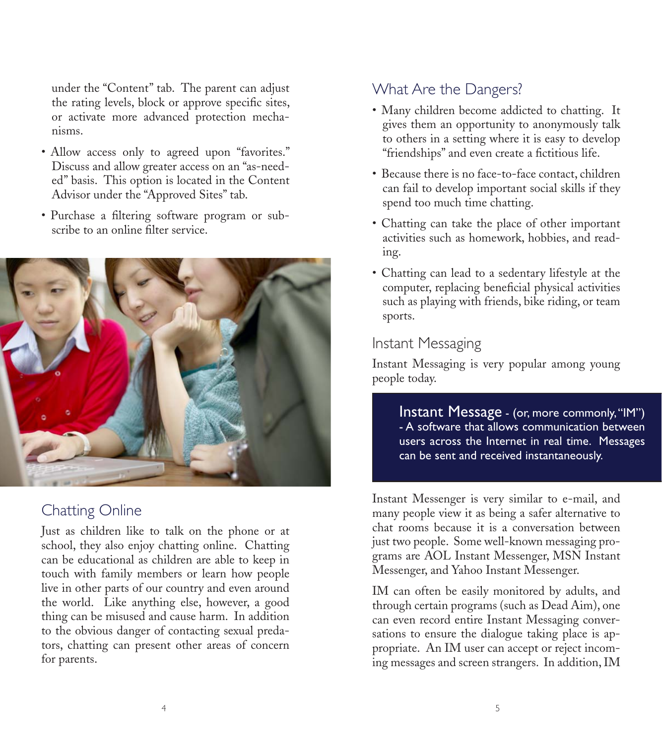under the "Content" tab. The parent can adjust the rating levels, block or approve specific sites, or activate more advanced protection mechanisms.

- Allow access only to agreed upon "favorites." Discuss and allow greater access on an "as-needed" basis. This option is located in the Content Advisor under the "Approved Sites" tab.
- Purchase a filtering software program or subscribe to an online filter service.



#### Chatting Online

Just as children like to talk on the phone or at school, they also enjoy chatting online. Chatting can be educational as children are able to keep in touch with family members or learn how people live in other parts of our country and even around the world. Like anything else, however, a good thing can be misused and cause harm. In addition to the obvious danger of contacting sexual predators, chatting can present other areas of concern for parents.

#### What Are the Dangers?

- Many children become addicted to chatting. It gives them an opportunity to anonymously talk to others in a setting where it is easy to develop "friendships" and even create a fictitious life.
- Because there is no face-to-face contact, children can fail to develop important social skills if they spend too much time chatting.
- Chatting can take the place of other important activities such as homework, hobbies, and reading.
- Chatting can lead to a sedentary lifestyle at the computer, replacing beneficial physical activities such as playing with friends, bike riding, or team sports.

#### Instant Messaging

Instant Messaging is very popular among young people today.

> Instant Message - (or, more commonly, "IM") - A software that allows communication between users across the Internet in real time. Messages can be sent and received instantaneously.

Instant Messenger is very similar to e-mail, and many people view it as being a safer alternative to chat rooms because it is a conversation between just two people. Some well-known messaging programs are AOL Instant Messenger, MSN Instant Messenger, and Yahoo Instant Messenger.

IM can often be easily monitored by adults, and through certain programs (such as Dead Aim), one can even record entire Instant Messaging conversations to ensure the dialogue taking place is appropriate. An IM user can accept or reject incoming messages and screen strangers. In addition,IM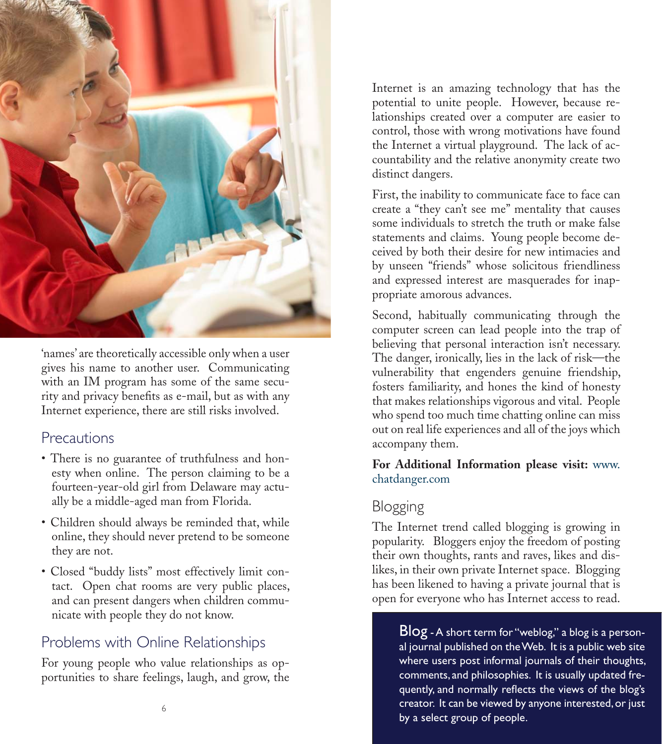

'names' are theoretically accessible only when a user gives his name to another user. Communicating with an IM program has some of the same security and privacy benefits as e-mail, but as with any Internet experience, there are still risks involved.

#### **Precautions**

- There is no guarantee of truthfulness and honesty when online. The person claiming to be a fourteen-year-old girl from Delaware may actually be a middle-aged man from Florida.
- Children should always be reminded that, while online, they should never pretend to be someone they are not.
- Closed "buddy lists" most effectively limit contact. Open chat rooms are very public places, and can present dangers when children communicate with people they do not know.

# Problems with Online Relationships

For young people who value relationships as opportunities to share feelings, laugh, and grow, the Internet is an amazing technology that has the potential to unite people. However, because relationships created over a computer are easier to control, those with wrong motivations have found the Internet a virtual playground. The lack of accountability and the relative anonymity create two distinct dangers.

First, the inability to communicate face to face can create a "they can't see me" mentality that causes some individuals to stretch the truth or make false statements and claims. Young people become deceived by both their desire for new intimacies and by unseen "friends" whose solicitous friendliness and expressed interest are masquerades for inappropriate amorous advances.

Second, habitually communicating through the computer screen can lead people into the trap of believing that personal interaction isn't necessary. The danger, ironically, lies in the lack of risk—the vulnerability that engenders genuine friendship, fosters familiarity, and hones the kind of honesty that makes relationships vigorous and vital. People who spend too much time chatting online can miss out on real life experiences and all of the joys which accompany them.

#### **For Additional Information please visit:** www. chatdanger.com

### Blogging

The Internet trend called blogging is growing in popularity. Bloggers enjoy the freedom of posting their own thoughts, rants and raves, likes and dislikes, in their own private Internet space. Blogging has been likened to having a private journal that is open for everyone who has Internet access to read.

Blog - A short term for "weblog," a blog is a personal journal published on the Web. It is a public web site where users post informal journals of their thoughts, comments, and philosophies. It is usually updated frequently, and normally reflects the views of the blog's creator. It can be viewed by anyone interested, or just by a select group of people.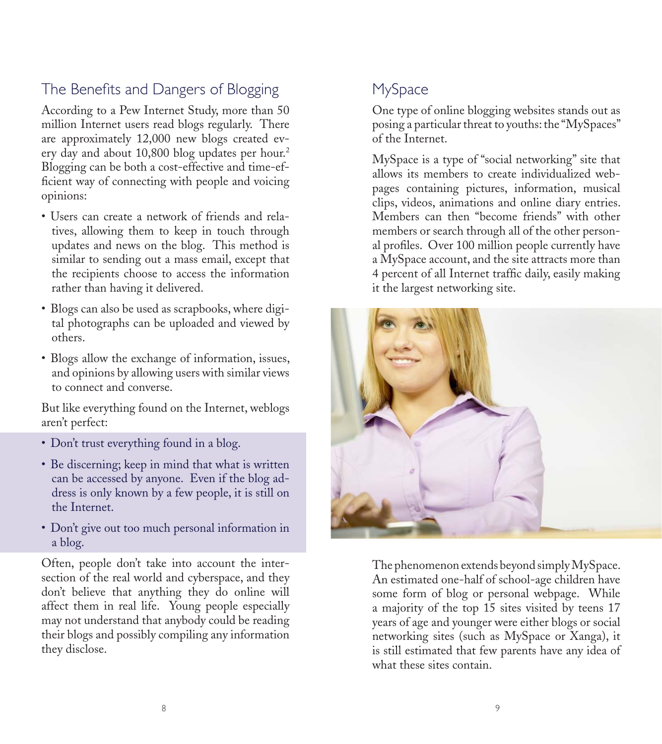## The Benefits and Dangers of Blogging

According to a Pew Internet Study, more than 50 million Internet users read blogs regularly. There are approximately 12,000 new blogs created every day and about 10,800 blog updates per hour.<sup>2</sup> Blogging can be both a cost-effective and time-efficient way of connecting with people and voicing opinions:

- Users can create a network of friends and relatives, allowing them to keep in touch through updates and news on the blog. This method is similar to sending out a mass email, except that the recipients choose to access the information rather than having it delivered.
- • Blogs can also be used as scrapbooks, where digital photographs can be uploaded and viewed by others.
- Blogs allow the exchange of information, issues, and opinions by allowing users with similar views to connect and converse.

But like everything found on the Internet, weblogs aren't perfect:

- Don't trust everything found in a blog.
- Be discerning; keep in mind that what is written can be accessed by anyone. Even if the blog address is only known by a few people, it is still on the Internet.
- Don't give out too much personal information in a blog.

Often, people don't take into account the intersection of the real world and cyberspace, and they don't believe that anything they do online will affect them in real life. Young people especially may not understand that anybody could be reading their blogs and possibly compiling any information they disclose.

# MySpace

One type of online blogging websites stands out as posing a particular threat to youths: the "MySpaces" of the Internet.

MySpace is a type of "social networking" site that allows its members to create individualized webpages containing pictures, information, musical clips, videos, animations and online diary entries. Members can then "become friends" with other members or search through all of the other personal profiles. Over 100 million people currently have a MySpace account, and the site attracts more than 4 percent of all Internet traffic daily, easily making it the largest networking site.



The phenomenon extends beyond simplyMySpace. An estimated one-half of school-age children have some form of blog or personal webpage. While a majority of the top 15 sites visited by teens 17 years of age and younger were either blogs or social networking sites (such as MySpace or Xanga), it is still estimated that few parents have any idea of what these sites contain.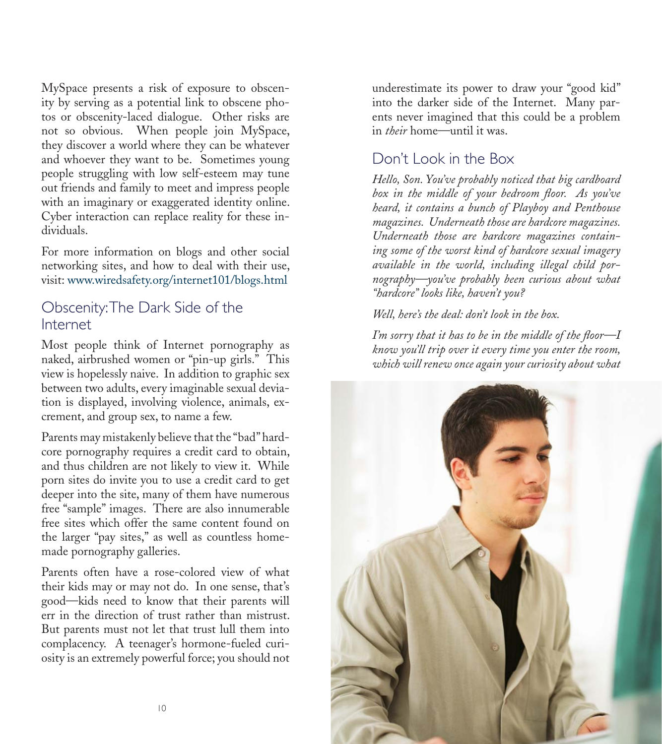MySpace presents a risk of exposure to obscenity by serving as a potential link to obscene photos or obscenity-laced dialogue. Other risks are not so obvious. When people join MySpace, they discover a world where they can be whatever and whoever they want to be. Sometimes young people struggling with low self-esteem may tune out friends and family to meet and impress people with an imaginary or exaggerated identity online. Cyber interaction can replace reality for these individuals.

For more information on blogs and other social networking sites, and how to deal with their use, visit: www.wiredsafety.org/internet101/blogs.html

#### Obscenity: The Dark Side of the Internet

Most people think of Internet pornography as naked, airbrushed women or "pin-up girls." This view is hopelessly naive. In addition to graphic sex between two adults, every imaginable sexual deviation is displayed, involving violence, animals, excrement, and group sex, to name a few.

Parents may mistakenly believe that the "bad" hardcore pornography requires a credit card to obtain, and thus children are not likely to view it. While porn sites do invite you to use a credit card to get deeper into the site, many of them have numerous free "sample" images. There are also innumerable free sites which offer the same content found on the larger "pay sites," as well as countless homemade pornography galleries.

Parents often have a rose-colored view of what their kids may or may not do. In one sense, that's good—kids need to know that their parents will err in the direction of trust rather than mistrust. But parents must not let that trust lull them into complacency. A teenager's hormone-fueled curiosity is an extremely powerful force; you should not

underestimate its power to draw your "good kid" into the darker side of the Internet. Many parents never imagined that this could be a problem in *their* home—until it was.

#### Don't Look in the Box

*Hello, Son. You've probably noticed that big cardboard box in the middle of your bedroom floor. As you've heard, it contains a bunch of Playboy and Penthouse magazines. Underneath those are hardcore magazines. Underneath those are hardcore magazines containing some of the worst kind of hardcore sexual imagery available in the world, including illegal child pornography—you've probably been curious about what "hardcore" looks like, haven't you?*

*Well, here's the deal: don't look in the box.*

*I'm sorry that it has to be in the middle of the floor—I know you'll trip over it every time you enter the room, which will renew once again your curiosity about what* 

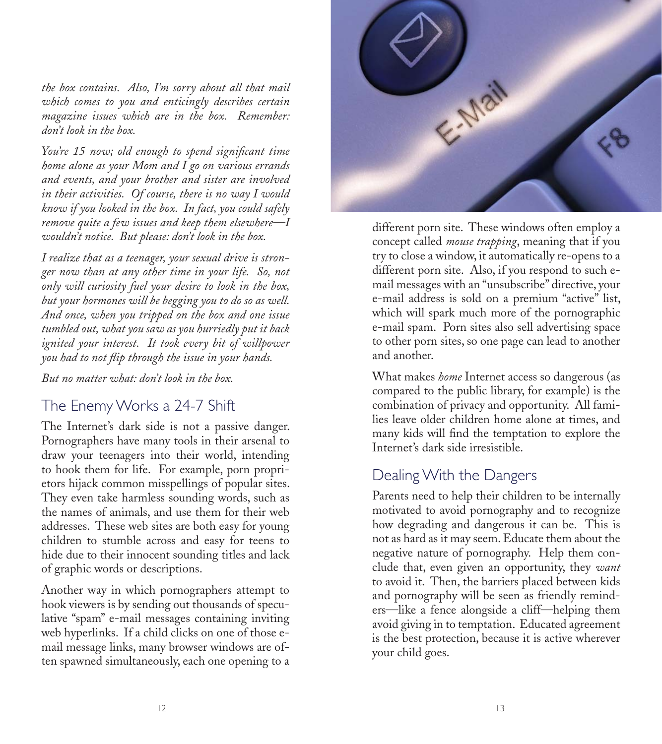*the box contains. Also, I'm sorry about all that mail which comes to you and enticingly describes certain magazine issues which are in the box. Remember: don't look in the box.*

*You're 15 now; old enough to spend significant time home alone as your Mom and I go on various errands and events, and your brother and sister are involved in their activities. Of course, there is no way I would know if you looked in the box. In fact, you could safely remove quite a few issues and keep them elsewhere—I wouldn't notice. But please: don't look in the box.*

*I realize that as a teenager, your sexual drive is stronger now than at any other time in your life. So, not only will curiosity fuel your desire to look in the box, but your hormones will be begging you to do so as well. And once, when you tripped on the box and one issue tumbled out, what you saw as you hurriedly put it back ignited your interest. It took every bit of willpower you had to not flip through the issue in your hands.* 

*But no matter what: don't look in the box.* 

#### The Enemy Works a 24-7 Shift

The Internet's dark side is not a passive danger. Pornographers have many tools in their arsenal to draw your teenagers into their world, intending to hook them for life. For example, porn proprietors hijack common misspellings of popular sites. They even take harmless sounding words, such as the names of animals, and use them for their web addresses. These web sites are both easy for young children to stumble across and easy for teens to hide due to their innocent sounding titles and lack of graphic words or descriptions.

Another way in which pornographers attempt to hook viewers is by sending out thousands of speculative "spam" e-mail messages containing inviting web hyperlinks. If a child clicks on one of those email message links, many browser windows are often spawned simultaneously, each one opening to a



different porn site. These windows often employ a concept called *mouse trapping*, meaning that if you try to close a window, it automatically re-opens to a different porn site. Also, if you respond to such email messages with an "unsubscribe" directive, your e-mail address is sold on a premium "active" list, which will spark much more of the pornographic e-mail spam. Porn sites also sell advertising space to other porn sites, so one page can lead to another and another.

What makes *home* Internet access so dangerous (as compared to the public library, for example) is the combination of privacy and opportunity. All families leave older children home alone at times, and many kids will find the temptation to explore the Internet's dark side irresistible.

#### Dealing With the Dangers

Parents need to help their children to be internally motivated to avoid pornography and to recognize how degrading and dangerous it can be. This is not as hard as it may seem. Educate them about the negative nature of pornography. Help them conclude that, even given an opportunity, they *want* to avoid it. Then, the barriers placed between kids and pornography will be seen as friendly reminders—like a fence alongside a cliff—helping them avoid giving in to temptation. Educated agreement is the best protection, because it is active wherever your child goes.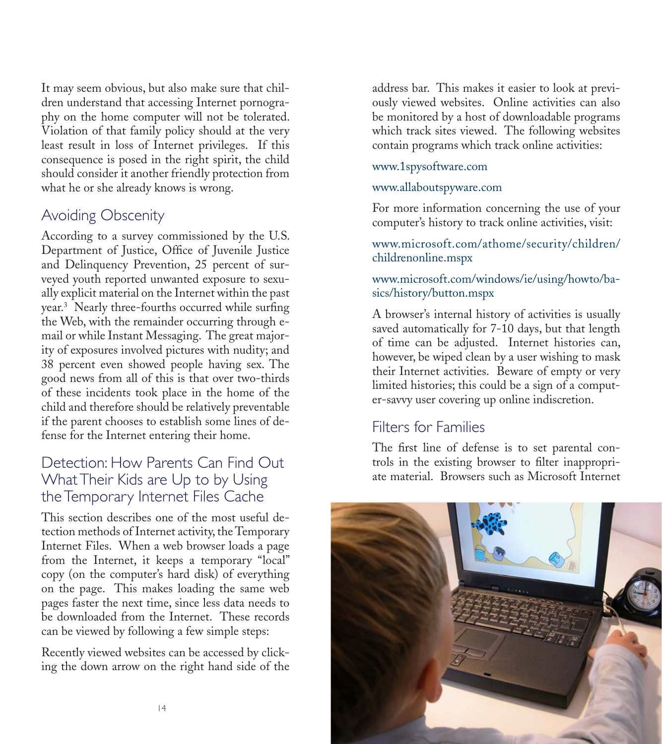It may seem obvious, but also make sure that children understand that accessing Internet pornography on the home computer will not be tolerated. Violation of that family policy should at the very least result in loss of Internet privileges. If this consequence is posed in the right spirit, the child should consider it another friendly protection from what he or she already knows is wrong.

#### Avoiding Obscenity

According to a survey commissioned by the U.S. Department of Justice, Office of Juvenile Justice and Delinquency Prevention, 25 percent of surveyed youth reported unwanted exposure to sexually explicit material on the Internet within the past year.3 Nearly three-fourths occurred while surfing the Web, with the remainder occurring through email or while Instant Messaging. The great majority of exposures involved pictures with nudity; and 38 percent even showed people having sex. The good news from all of this is that over two-thirds of these incidents took place in the home of the child and therefore should be relatively preventable if the parent chooses to establish some lines of defense for the Internet entering their home.

#### Detection: How Parents Can Find Out What Their Kids are Up to by Using the Temporary Internet Files Cache

This section describes one of the most useful detection methods of Internet activity, the Temporary Internet Files. When a web browser loads a page from the Internet, it keeps a temporary "local" copy (on the computer's hard disk) of everything on the page. This makes loading the same web pages faster the next time, since less data needs to be downloaded from the Internet. These records can be viewed by following a few simple steps:

Recently viewed websites can be accessed by clicking the down arrow on the right hand side of the

address bar. This makes it easier to look at previously viewed websites. Online activities can also be monitored by a host of downloadable programs which track sites viewed. The following websites contain programs which track online activities:

#### www.1spysoftware.com

#### www.allaboutspyware.com

For more information concerning the use of your computer's history to track online activities, visit:

#### www.microsoft.com/athome/security/children/ childrenonline.mspx

#### www.microsoft.com/windows/ie/using/howto/basics/history/button.mspx

A browser's internal history of activities is usually saved automatically for 7-10 days, but that length of time can be adjusted. Internet histories can, however, be wiped clean by a user wishing to mask their Internet activities. Beware of empty or very limited histories; this could be a sign of a computer-savvy user covering up online indiscretion.

#### Filters for Families

The first line of defense is to set parental controls in the existing browser to filter inappropriate material. Browsers such as Microsoft Internet

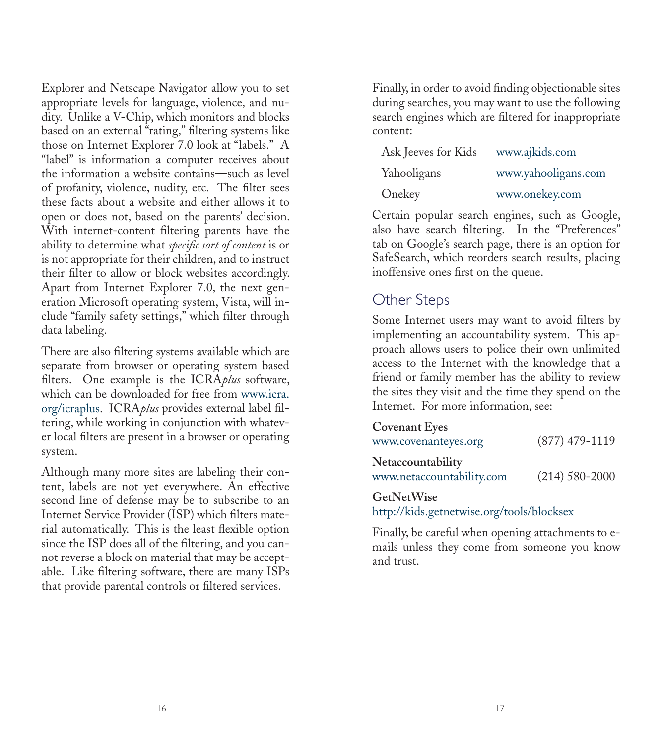Explorer and Netscape Navigator allow you to set appropriate levels for language, violence, and nudity. Unlike a V-Chip, which monitors and blocks based on an external "rating," filtering systems like those on Internet Explorer 7.0 look at "labels." A "label" is information a computer receives about the information a website contains—such as level of profanity, violence, nudity, etc. The filter sees these facts about a website and either allows it to open or does not, based on the parents' decision. With internet-content filtering parents have the ability to determine what *specific sort of content* is or is not appropriate for their children, and to instruct their filter to allow or block websites accordingly. Apart from Internet Explorer 7.0, the next generation Microsoft operating system, Vista, will include "family safety settings," which filter through data labeling.

There are also filtering systems available which are separate from browser or operating system based filters. One example is the ICRA*plus* software, which can be downloaded for free from www.icra. org/icraplus. ICRA*plus* provides external label filtering, while working in conjunction with whatever local filters are present in a browser or operating system.

Although many more sites are labeling their content, labels are not yet everywhere. An effective second line of defense may be to subscribe to an Internet Service Provider (ISP) which filters material automatically. This is the least flexible option since the ISP does all of the filtering, and you cannot reverse a block on material that may be acceptable. Like filtering software, there are many ISPs that provide parental controls or filtered services.

Finally, in order to avoid finding objectionable sites during searches, you may want to use the following search engines which are filtered for inappropriate content:

| Ask Jeeves for Kids | www.ajkids.com      |
|---------------------|---------------------|
| Yahooligans         | www.yahooligans.com |
| Onekey              | www.onekey.com      |

Certain popular search engines, such as Google, also have search filtering. In the "Preferences" tab on Google's search page, there is an option for SafeSearch, which reorders search results, placing inoffensive ones first on the queue.

#### Other Steps

Some Internet users may want to avoid filters by implementing an accountability system. This approach allows users to police their own unlimited access to the Internet with the knowledge that a friend or family member has the ability to review the sites they visit and the time they spend on the Internet. For more information, see:

| <b>Covenant Eyes</b>                           |                    |
|------------------------------------------------|--------------------|
| www.covenanteyes.org                           | $(877)$ 479-1119   |
| Netaccountability<br>www.netaccountability.com | $(214) 580 - 2000$ |
| GetNetWise                                     |                    |

http://kids.getnetwise.org/tools/blocksex

Finally, be careful when opening attachments to emails unless they come from someone you know and trust.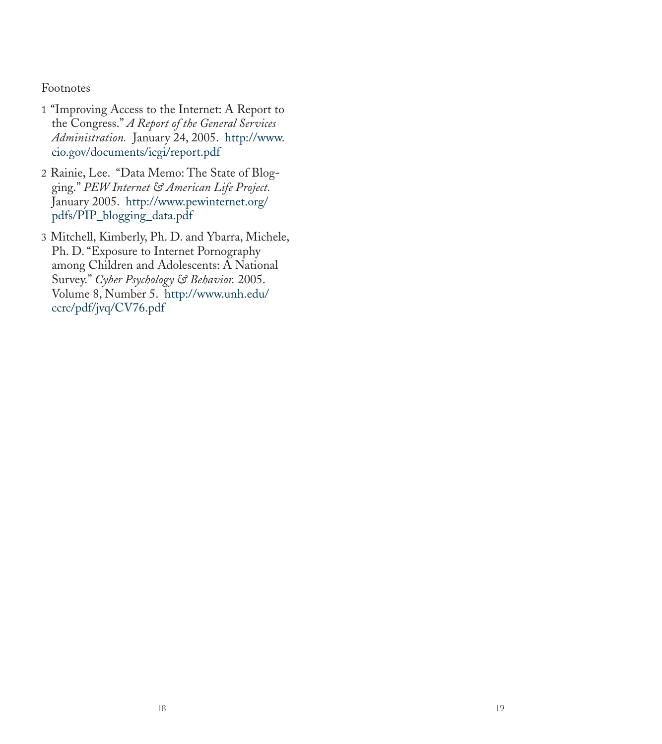#### Footnotes

- 1 "Improving Access to the Internet: A Report to the Congress." *A Report of the General Services Administration.* January 24, 2005. http://www. cio.gov/documents/icgi/report.pdf
- 2 Rainie, Lee. "Data Memo: The State of Blogging." *PEW Internet & American Life Project.*  January 2005. http://www.pewinternet.org/ pdfs/PIP\_blogging\_data.pdf
- 3 Mitchell, Kimberly, Ph. D. and Ybarra, Michele, Ph. D. "Exposure to Internet Pornography among Children and Adolescents: A National Survey." *Cyber Psychology & Behavior.* 2005. Volume 8, Number 5. http://www.unh.edu/ ccrc/pdf/jvq/CV76.pdf